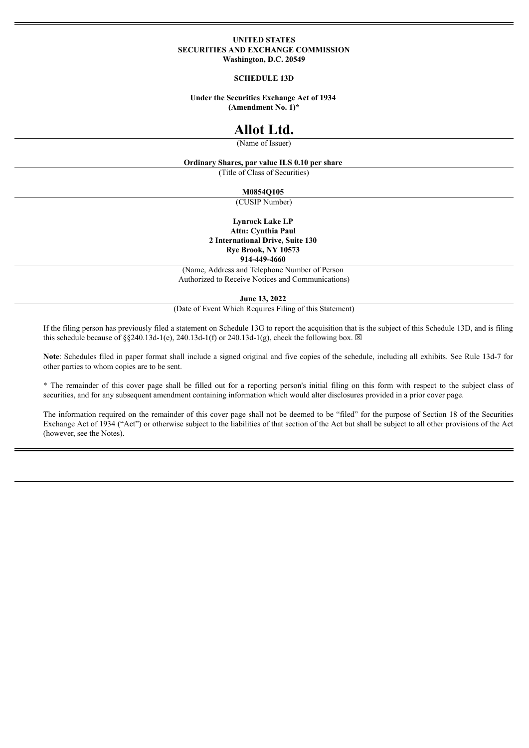#### **UNITED STATES SECURITIES AND EXCHANGE COMMISSION Washington, D.C. 20549**

#### **SCHEDULE 13D**

#### **Under the Securities Exchange Act of 1934 (Amendment No. 1)\***

# **Allot Ltd.**

(Name of Issuer)

#### **Ordinary Shares, par value ILS 0.10 per share**

(Title of Class of Securities)

#### **M0854Q105**

(CUSIP Number)

### **Lynrock Lake LP**

**Attn: Cynthia Paul 2 International Drive, Suite 130 Rye Brook, NY 10573 914-449-4660**

(Name, Address and Telephone Number of Person Authorized to Receive Notices and Communications)

**June 13, 2022**

(Date of Event Which Requires Filing of this Statement)

If the filing person has previously filed a statement on Schedule 13G to report the acquisition that is the subject of this Schedule 13D, and is filing this schedule because of §§240.13d-1(e), 240.13d-1(f) or 240.13d-1(g), check the following box.  $\boxtimes$ 

**Note**: Schedules filed in paper format shall include a signed original and five copies of the schedule, including all exhibits. See Rule 13d-7 for other parties to whom copies are to be sent.

\* The remainder of this cover page shall be filled out for a reporting person's initial filing on this form with respect to the subject class of securities, and for any subsequent amendment containing information which would alter disclosures provided in a prior cover page.

The information required on the remainder of this cover page shall not be deemed to be "filed" for the purpose of Section 18 of the Securities Exchange Act of 1934 ("Act") or otherwise subject to the liabilities of that section of the Act but shall be subject to all other provisions of the Act (however, see the Notes).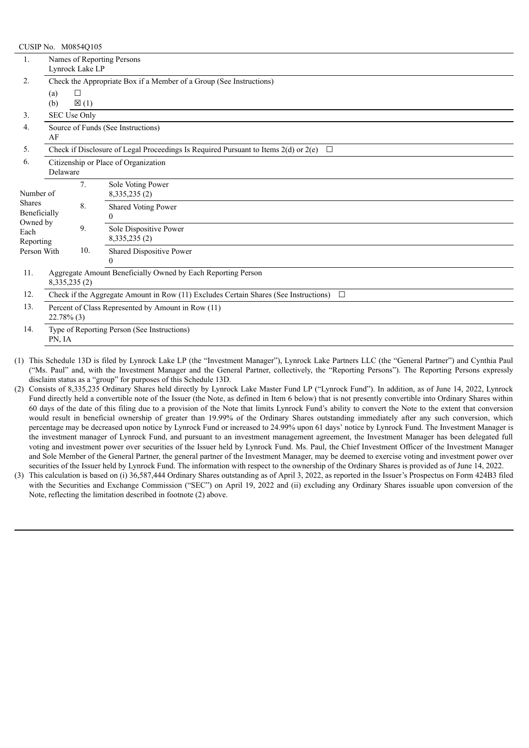|                            | CUSIP No. M0854Q105                                                                               |                 |                                                              |  |  |  |  |
|----------------------------|---------------------------------------------------------------------------------------------------|-----------------|--------------------------------------------------------------|--|--|--|--|
| 1.                         | Names of Reporting Persons                                                                        |                 |                                                              |  |  |  |  |
|                            | Lynrock Lake LP                                                                                   |                 |                                                              |  |  |  |  |
| 2.                         | Check the Appropriate Box if a Member of a Group (See Instructions)                               |                 |                                                              |  |  |  |  |
|                            | (a)                                                                                               | $\Box$          |                                                              |  |  |  |  |
|                            | (b)                                                                                               | $\boxtimes$ (1) |                                                              |  |  |  |  |
| 3.                         | SEC Use Only                                                                                      |                 |                                                              |  |  |  |  |
| 4.                         | Source of Funds (See Instructions)                                                                |                 |                                                              |  |  |  |  |
|                            | AF                                                                                                |                 |                                                              |  |  |  |  |
| 5.                         | Check if Disclosure of Legal Proceedings Is Required Pursuant to Items $2(d)$ or $2(e)$<br>$\Box$ |                 |                                                              |  |  |  |  |
| 6.                         | Citizenship or Place of Organization                                                              |                 |                                                              |  |  |  |  |
|                            | Delaware                                                                                          |                 |                                                              |  |  |  |  |
|                            |                                                                                                   | 7.              | Sole Voting Power                                            |  |  |  |  |
| Number of<br><b>Shares</b> |                                                                                                   |                 | 8,335,235 (2)                                                |  |  |  |  |
| Beneficially               |                                                                                                   | 8.              | Shared Voting Power                                          |  |  |  |  |
| Owned by                   |                                                                                                   |                 | $\Omega$                                                     |  |  |  |  |
| Each                       |                                                                                                   | 9.              | Sole Dispositive Power                                       |  |  |  |  |
| Reporting                  |                                                                                                   |                 | 8, 335, 235 (2)                                              |  |  |  |  |
| Person With                |                                                                                                   | 10.             | Shared Dispositive Power<br>$\Omega$                         |  |  |  |  |
| 11.                        |                                                                                                   |                 |                                                              |  |  |  |  |
|                            | 8, 335, 235 (2)                                                                                   |                 | Aggregate Amount Beneficially Owned by Each Reporting Person |  |  |  |  |
| 12.                        | Check if the Aggregate Amount in Row (11) Excludes Certain Shares (See Instructions)<br>$\Box$    |                 |                                                              |  |  |  |  |
| 13.                        |                                                                                                   |                 |                                                              |  |  |  |  |
|                            | Percent of Class Represented by Amount in Row (11)<br>$22.78\%$ (3)                               |                 |                                                              |  |  |  |  |
| 14.                        | Type of Reporting Person (See Instructions)                                                       |                 |                                                              |  |  |  |  |
|                            | PN, IA                                                                                            |                 |                                                              |  |  |  |  |
|                            |                                                                                                   |                 |                                                              |  |  |  |  |

(1) This Schedule 13D is filed by Lynrock Lake LP (the "Investment Manager"), Lynrock Lake Partners LLC (the "General Partner") and Cynthia Paul ("Ms. Paul" and, with the Investment Manager and the General Partner, collectively, the "Reporting Persons"). The Reporting Persons expressly disclaim status as a "group" for purposes of this Schedule 13D.

- (2) Consists of 8,335,235 Ordinary Shares held directly by Lynrock Lake Master Fund LP ("Lynrock Fund"). In addition, as of June 14, 2022, Lynrock Fund directly held a convertible note of the Issuer (the Note, as defined in Item 6 below) that is not presently convertible into Ordinary Shares within 60 days of the date of this filing due to a provision of the Note that limits Lynrock Fund's ability to convert the Note to the extent that conversion would result in beneficial ownership of greater than 19.99% of the Ordinary Shares outstanding immediately after any such conversion, which percentage may be decreased upon notice by Lynrock Fund or increased to 24.99% upon 61 days' notice by Lynrock Fund. The Investment Manager is the investment manager of Lynrock Fund, and pursuant to an investment management agreement, the Investment Manager has been delegated full voting and investment power over securities of the Issuer held by Lynrock Fund. Ms. Paul, the Chief Investment Officer of the Investment Manager and Sole Member of the General Partner, the general partner of the Investment Manager, may be deemed to exercise voting and investment power over securities of the Issuer held by Lynrock Fund. The information with respect to the ownership of the Ordinary Shares is provided as of June 14, 2022.
- (3) This calculation is based on (i) 36,587,444 Ordinary Shares outstanding as of April 3, 2022, as reported in the Issuer's Prospectus on Form 424B3 filed with the Securities and Exchange Commission ("SEC") on April 19, 2022 and (ii) excluding any Ordinary Shares issuable upon conversion of the Note, reflecting the limitation described in footnote (2) above.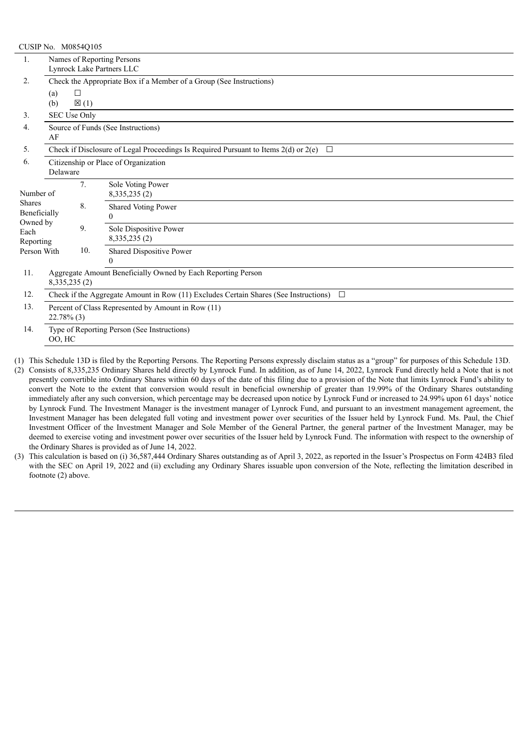|                               | CUSIP No. M0854Q105                                                                            |                 |                            |  |  |  |  |
|-------------------------------|------------------------------------------------------------------------------------------------|-----------------|----------------------------|--|--|--|--|
| 1.                            | Names of Reporting Persons                                                                     |                 |                            |  |  |  |  |
|                               | Lynrock Lake Partners LLC                                                                      |                 |                            |  |  |  |  |
| 2.                            | Check the Appropriate Box if a Member of a Group (See Instructions)                            |                 |                            |  |  |  |  |
|                               | □<br>(a)                                                                                       |                 |                            |  |  |  |  |
|                               | (b)                                                                                            | $\boxtimes$ (1) |                            |  |  |  |  |
| 3.                            | SEC Use Only                                                                                   |                 |                            |  |  |  |  |
| 4.                            | Source of Funds (See Instructions)                                                             |                 |                            |  |  |  |  |
|                               | AF                                                                                             |                 |                            |  |  |  |  |
| 5.                            | Check if Disclosure of Legal Proceedings Is Required Pursuant to Items 2(d) or 2(e) $\Box$     |                 |                            |  |  |  |  |
| 6.                            | Citizenship or Place of Organization                                                           |                 |                            |  |  |  |  |
|                               | Delaware                                                                                       |                 |                            |  |  |  |  |
|                               |                                                                                                | 7.              | Sole Voting Power          |  |  |  |  |
| Number of                     |                                                                                                |                 | 8, 335, 235 (2)            |  |  |  |  |
| <b>Shares</b><br>Beneficially |                                                                                                | 8.              | <b>Shared Voting Power</b> |  |  |  |  |
| Owned by                      |                                                                                                |                 | 0                          |  |  |  |  |
| Each                          |                                                                                                | 9.              | Sole Dispositive Power     |  |  |  |  |
| Reporting                     |                                                                                                |                 | 8,335,235 (2)              |  |  |  |  |
| Person With                   |                                                                                                | 10.             | Shared Dispositive Power   |  |  |  |  |
|                               |                                                                                                |                 | 0                          |  |  |  |  |
| 11.                           | Aggregate Amount Beneficially Owned by Each Reporting Person                                   |                 |                            |  |  |  |  |
|                               | 8,335,235 (2)                                                                                  |                 |                            |  |  |  |  |
| 12.                           | Check if the Aggregate Amount in Row (11) Excludes Certain Shares (See Instructions)<br>$\Box$ |                 |                            |  |  |  |  |
| 13.                           | Percent of Class Represented by Amount in Row (11)<br>$22.78\%$ (3)                            |                 |                            |  |  |  |  |
| 14.                           | Type of Reporting Person (See Instructions)                                                    |                 |                            |  |  |  |  |
|                               | OO, HC                                                                                         |                 |                            |  |  |  |  |
|                               |                                                                                                |                 |                            |  |  |  |  |

(1) This Schedule 13D is filed by the Reporting Persons. The Reporting Persons expressly disclaim status as a "group" for purposes of this Schedule 13D.

(2) Consists of 8,335,235 Ordinary Shares held directly by Lynrock Fund. In addition, as of June 14, 2022, Lynrock Fund directly held a Note that is not presently convertible into Ordinary Shares within 60 days of the date of this filing due to a provision of the Note that limits Lynrock Fund's ability to convert the Note to the extent that conversion would result in beneficial ownership of greater than 19.99% of the Ordinary Shares outstanding immediately after any such conversion, which percentage may be decreased upon notice by Lynrock Fund or increased to 24.99% upon 61 days' notice by Lynrock Fund. The Investment Manager is the investment manager of Lynrock Fund, and pursuant to an investment management agreement, the Investment Manager has been delegated full voting and investment power over securities of the Issuer held by Lynrock Fund. Ms. Paul, the Chief Investment Officer of the Investment Manager and Sole Member of the General Partner, the general partner of the Investment Manager, may be deemed to exercise voting and investment power over securities of the Issuer held by Lynrock Fund. The information with respect to the ownership of the Ordinary Shares is provided as of June 14, 2022.

(3) This calculation is based on (i) 36,587,444 Ordinary Shares outstanding as of April 3, 2022, as reported in the Issuer's Prospectus on Form 424B3 filed with the SEC on April 19, 2022 and (ii) excluding any Ordinary Shares issuable upon conversion of the Note, reflecting the limitation described in footnote (2) above.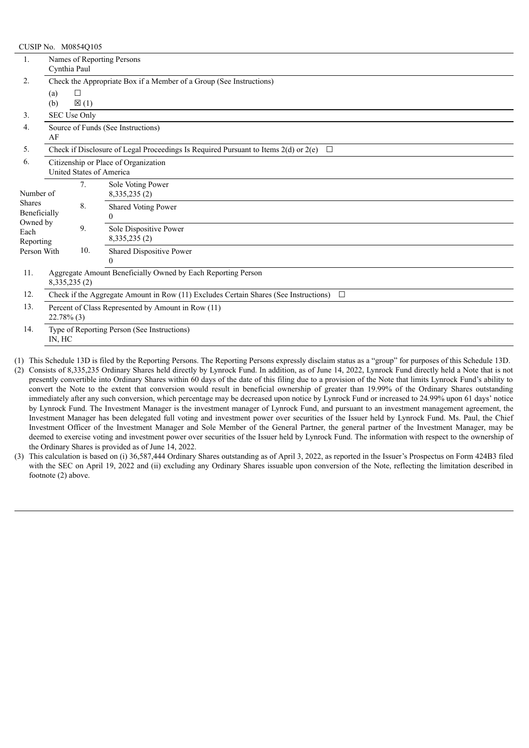| CUSIP No. M0854Q105           |                                                                                                   |                 |                          |  |  |  |  |
|-------------------------------|---------------------------------------------------------------------------------------------------|-----------------|--------------------------|--|--|--|--|
| 1.                            | Names of Reporting Persons                                                                        |                 |                          |  |  |  |  |
|                               | Cynthia Paul                                                                                      |                 |                          |  |  |  |  |
| 2.                            | Check the Appropriate Box if a Member of a Group (See Instructions)                               |                 |                          |  |  |  |  |
|                               | (a)                                                                                               | □               |                          |  |  |  |  |
|                               | (b)                                                                                               | $\boxtimes$ (1) |                          |  |  |  |  |
| 3.                            | SEC Use Only                                                                                      |                 |                          |  |  |  |  |
| 4.                            | Source of Funds (See Instructions)                                                                |                 |                          |  |  |  |  |
|                               | AF                                                                                                |                 |                          |  |  |  |  |
| 5.                            | Check if Disclosure of Legal Proceedings Is Required Pursuant to Items $2(d)$ or $2(e)$<br>$\Box$ |                 |                          |  |  |  |  |
| 6.                            | Citizenship or Place of Organization                                                              |                 |                          |  |  |  |  |
|                               | United States of America                                                                          |                 |                          |  |  |  |  |
|                               |                                                                                                   | 7.              | Sole Voting Power        |  |  |  |  |
| Number of                     |                                                                                                   |                 | 8, 335, 235 (2)          |  |  |  |  |
| <b>Shares</b><br>Beneficially |                                                                                                   | 8.              | Shared Voting Power      |  |  |  |  |
| Owned by                      |                                                                                                   |                 | $\Omega$                 |  |  |  |  |
| Each                          |                                                                                                   | 9.              | Sole Dispositive Power   |  |  |  |  |
| Reporting                     |                                                                                                   |                 | 8, 335, 235 (2)          |  |  |  |  |
| Person With                   |                                                                                                   | 10.             | Shared Dispositive Power |  |  |  |  |
|                               |                                                                                                   |                 | 0                        |  |  |  |  |
| 11.                           | Aggregate Amount Beneficially Owned by Each Reporting Person                                      |                 |                          |  |  |  |  |
|                               | 8, 335, 235 (2)                                                                                   |                 |                          |  |  |  |  |
| 12.                           | Check if the Aggregate Amount in Row (11) Excludes Certain Shares (See Instructions)<br>$\Box$    |                 |                          |  |  |  |  |
| 13.                           | Percent of Class Represented by Amount in Row (11)                                                |                 |                          |  |  |  |  |
|                               | $22.78\%$ (3)                                                                                     |                 |                          |  |  |  |  |
| 14.                           | Type of Reporting Person (See Instructions)<br>IN, HC                                             |                 |                          |  |  |  |  |
|                               |                                                                                                   |                 |                          |  |  |  |  |

(1) This Schedule 13D is filed by the Reporting Persons. The Reporting Persons expressly disclaim status as a "group" for purposes of this Schedule 13D.

(2) Consists of 8,335,235 Ordinary Shares held directly by Lynrock Fund. In addition, as of June 14, 2022, Lynrock Fund directly held a Note that is not presently convertible into Ordinary Shares within 60 days of the date of this filing due to a provision of the Note that limits Lynrock Fund's ability to convert the Note to the extent that conversion would result in beneficial ownership of greater than 19.99% of the Ordinary Shares outstanding immediately after any such conversion, which percentage may be decreased upon notice by Lynrock Fund or increased to 24.99% upon 61 days' notice by Lynrock Fund. The Investment Manager is the investment manager of Lynrock Fund, and pursuant to an investment management agreement, the Investment Manager has been delegated full voting and investment power over securities of the Issuer held by Lynrock Fund. Ms. Paul, the Chief Investment Officer of the Investment Manager and Sole Member of the General Partner, the general partner of the Investment Manager, may be deemed to exercise voting and investment power over securities of the Issuer held by Lynrock Fund. The information with respect to the ownership of the Ordinary Shares is provided as of June 14, 2022.

(3) This calculation is based on (i) 36,587,444 Ordinary Shares outstanding as of April 3, 2022, as reported in the Issuer's Prospectus on Form 424B3 filed with the SEC on April 19, 2022 and (ii) excluding any Ordinary Shares issuable upon conversion of the Note, reflecting the limitation described in footnote (2) above.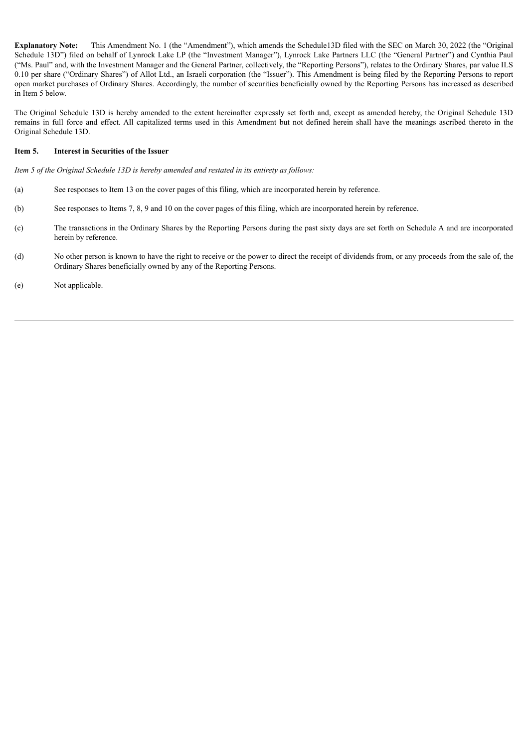**Explanatory Note:** This Amendment No. 1 (the "Amendment"), which amends the Schedule13D filed with the SEC on March 30, 2022 (the "Original Schedule 13D") filed on behalf of Lynrock Lake LP (the "Investment Manager"), Lynrock Lake Partners LLC (the "General Partner") and Cynthia Paul ("Ms. Paul" and, with the Investment Manager and the General Partner, collectively, the "Reporting Persons"), relates to the Ordinary Shares, par value ILS 0.10 per share ("Ordinary Shares") of Allot Ltd., an Israeli corporation (the "Issuer"). This Amendment is being filed by the Reporting Persons to report open market purchases of Ordinary Shares. Accordingly, the number of securities beneficially owned by the Reporting Persons has increased as described in Item 5 below.

The Original Schedule 13D is hereby amended to the extent hereinafter expressly set forth and, except as amended hereby, the Original Schedule 13D remains in full force and effect. All capitalized terms used in this Amendment but not defined herein shall have the meanings ascribed thereto in the Original Schedule 13D.

#### **Item 5. Interest in Securities of the Issuer**

*Item 5 of the Original Schedule 13D is hereby amended and restated in its entirety as follows:*

- (a) See responses to Item 13 on the cover pages of this filing, which are incorporated herein by reference.
- (b) See responses to Items 7, 8, 9 and 10 on the cover pages of this filing, which are incorporated herein by reference.
- (c) The transactions in the Ordinary Shares by the Reporting Persons during the past sixty days are set forth on Schedule A and are incorporated herein by reference.
- (d) No other person is known to have the right to receive or the power to direct the receipt of dividends from, or any proceeds from the sale of, the Ordinary Shares beneficially owned by any of the Reporting Persons.
- (e) Not applicable.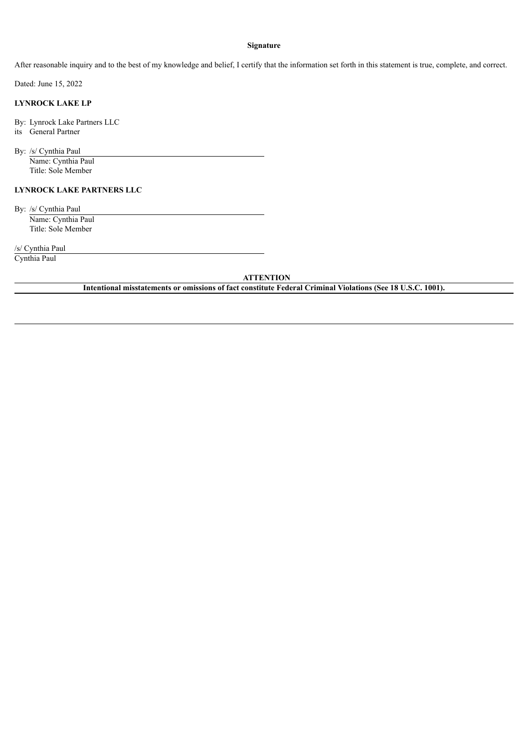#### **Signature**

After reasonable inquiry and to the best of my knowledge and belief, I certify that the information set forth in this statement is true, complete, and correct.

Dated: June 15, 2022

### **LYNROCK LAKE LP**

By: Lynrock Lake Partners LLC its General Partner

By: /s/ Cynthia Paul Name: Cynthia Paul

Title: Sole Member

### **LYNROCK LAKE PARTNERS LLC**

By: /s/ Cynthia Paul Name: Cynthia Paul Title: Sole Member

/s/ Cynthia Paul

Cynthia Paul

## **ATTENTION**

**Intentional misstatements or omissions of fact constitute Federal Criminal Violations (See 18 U.S.C. 1001).**